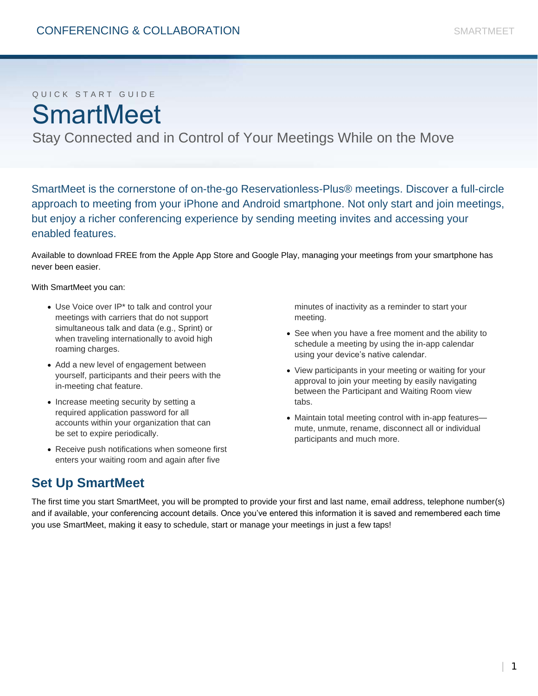# Q U I C K S T A R T G U I D E **SmartMeet**

Stay Connected and in Control of Your Meetings While on the Move

SmartMeet is the cornerstone of on-the-go Reservationless-Plus® meetings. Discover a full-circle approach to meeting from your iPhone and Android smartphone. Not only start and join meetings, but enjoy a richer conferencing experience by sending meeting invites and accessing your enabled features.

Available to download FREE from the Apple App Store and Google Play, managing your meetings from your smartphone has never been easier.

With SmartMeet you can:

- Use Voice over IP\* to talk and control your meetings with carriers that do not support simultaneous talk and data (e.g., Sprint) or when traveling internationally to avoid high roaming charges.
- Add a new level of engagement between yourself, participants and their peers with the in-meeting chat feature.
- Increase meeting security by setting a required application password for all accounts within your organization that can be set to expire periodically.
- Receive push notifications when someone first enters your waiting room and again after five

minutes of inactivity as a reminder to start your meeting.

- See when you have a free moment and the ability to schedule a meeting by using the in-app calendar using your device's native calendar.
- View participants in your meeting or waiting for your approval to join your meeting by easily navigating between the Participant and Waiting Room view tabs.
- Maintain total meeting control with in-app featuresmute, unmute, rename, disconnect all or individual participants and much more.

## **Set Up SmartMeet**

The first time you start SmartMeet, you will be prompted to provide your first and last name, email address, telephone number(s) and if available, your conferencing account details. Once you've entered this information it is saved and remembered each time you use SmartMeet, making it easy to schedule, start or manage your meetings in just a few taps!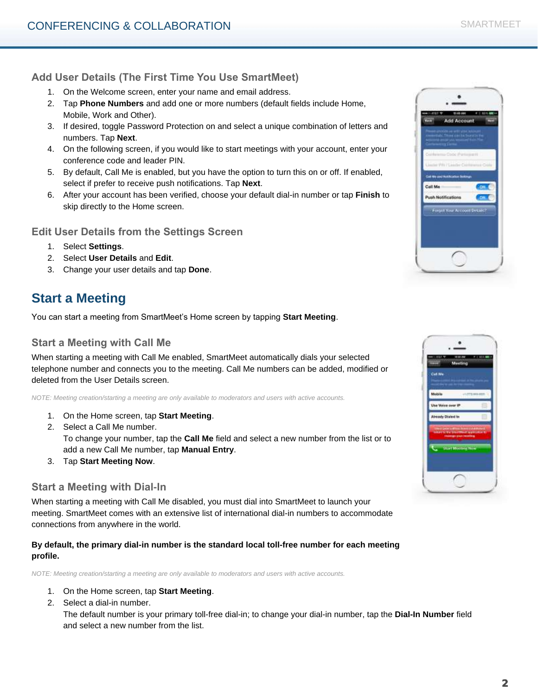### **Add User Details (The First Time You Use SmartMeet)**

- 1. On the Welcome screen, enter your name and email address.
- 2. Tap **Phone Numbers** and add one or more numbers (default fields include Home, Mobile, Work and Other).
- 3. If desired, toggle Password Protection on and select a unique combination of letters and numbers. Tap **Next**.
- 4. On the following screen, if you would like to start meetings with your account, enter your conference code and leader PIN.
- 5. By default, Call Me is enabled, but you have the option to turn this on or off. If enabled, select if prefer to receive push notifications. Tap **Next**.
- 6. After your account has been verified, choose your default dial-in number or tap **Finish** to skip directly to the Home screen.

**Edit User Details from the Settings Screen**

- 1. Select **Settings**.
- 2. Select **User Details** and **Edit**.
- 3. Change your user details and tap **Done**.

## **Start a Meeting**

You can start a meeting from SmartMeet's Home screen by tapping **Start Meeting**.

### **Start a Meeting with Call Me**

When starting a meeting with Call Me enabled, SmartMeet automatically dials your selected telephone number and connects you to the meeting. Call Me numbers can be added, modified or deleted from the User Details screen.

*NOTE: Meeting creation/starting a meeting are only available to moderators and users with active accounts.*

- 1. On the Home screen, tap **Start Meeting**.
- 2. Select a Call Me number. To change your number, tap the **Call Me** field and select a new number from the list or to add a new Call Me number, tap **Manual Entry**.
- 3. Tap **Start Meeting Now**.

### **Start a Meeting with Dial-In**

When starting a meeting with Call Me disabled, you must dial into SmartMeet to launch your meeting. SmartMeet comes with an extensive list of international dial-in numbers to accommodate connections from anywhere in the world.

**By default, the primary dial-in number is the standard local toll-free number for each meeting profile.**

*NOTE: Meeting creation/starting a meeting are only available to moderators and users with active accounts.* 

- 1. On the Home screen, tap **Start Meeting**.
- 2. Select a dial-in number.

The default number is your primary toll-free dial-in; to change your dial-in number, tap the **Dial-In Number** field and select a new number from the list.

| <b>Add Account</b>            |    |
|-------------------------------|----|
|                               |    |
| Currence Cool Participant     |    |
| <b>ALTER</b><br>site PAUL and |    |
| <b>Cuit the and react</b>     | w  |
| Call Me                       | OH |
| <b>Push Notifications</b>     | ON |
| Ecropol Your Account Details? |    |
|                               |    |
|                               |    |

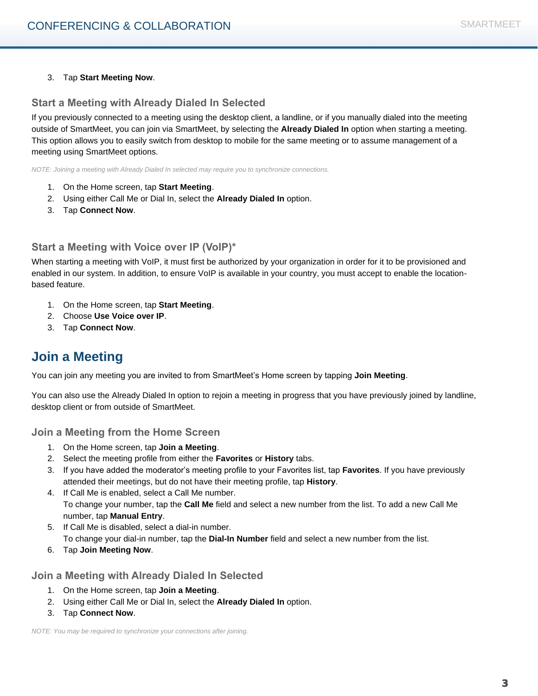#### 3. Tap **Start Meeting Now**.

#### **Start a Meeting with Already Dialed In Selected**

If you previously connected to a meeting using the desktop client, a landline, or if you manually dialed into the meeting outside of SmartMeet, you can join via SmartMeet, by selecting the **Already Dialed In** option when starting a meeting. This option allows you to easily switch from desktop to mobile for the same meeting or to assume management of a meeting using SmartMeet options.

*NOTE: Joining a meeting with Already Dialed In selected may require you to synchronize connections.*

- 1. On the Home screen, tap **Start Meeting**.
- 2. Using either Call Me or Dial In, select the **Already Dialed In** option.
- 3. Tap **Connect Now**.

#### **Start a Meeting with Voice over IP (VoIP)\***

When starting a meeting with VoIP, it must first be authorized by your organization in order for it to be provisioned and enabled in our system. In addition, to ensure VoIP is available in your country, you must accept to enable the locationbased feature.

- 1. On the Home screen, tap **Start Meeting**.
- 2. Choose **Use Voice over IP**.
- 3. Tap **Connect Now**.

### **Join a Meeting**

You can join any meeting you are invited to from SmartMeet's Home screen by tapping **Join Meeting**.

You can also use the Already Dialed In option to rejoin a meeting in progress that you have previously joined by landline, desktop client or from outside of SmartMeet.

**Join a Meeting from the Home Screen**

- 1. On the Home screen, tap **Join a Meeting**.
- 2. Select the meeting profile from either the **Favorites** or **History** tabs.
- 3. If you have added the moderator's meeting profile to your Favorites list, tap **Favorites**. If you have previously attended their meetings, but do not have their meeting profile, tap **History**.
- 4. If Call Me is enabled, select a Call Me number. To change your number, tap the **Call Me** field and select a new number from the list. To add a new Call Me number, tap **Manual Entry**.
- 5. If Call Me is disabled, select a dial-in number. To change your dial-in number, tap the **Dial-In Number** field and select a new number from the list.
- 6. Tap **Join Meeting Now**.

**Join a Meeting with Already Dialed In Selected**

- 1. On the Home screen, tap **Join a Meeting**.
- 2. Using either Call Me or Dial In, select the **Already Dialed In** option.
- 3. Tap **Connect Now**.

*NOTE: You may be required to synchronize your connections after joining.*